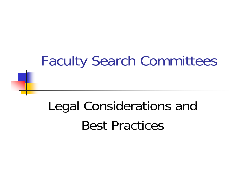# Faculty Search Committees

# Legal Considerations and Best Practices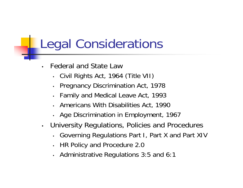- • Federal and State Law
	- •Civil Rights Act, 1964 (Title VII)
	- $\bullet$ Pregnancy Discrimination Act, 1978
	- •Family and Medical Leave Act, 1993
	- •Americans With Disabilities Act, 1990
	- Age Discrimination in Employment, 1967
- • University Regulations, Policies and Procedures
	- •Governing Regulations Part I, Part X and Part XIV
	- •HR Policy and Procedure 2.0
	- •Administrative Regulations 3:5 and 6:1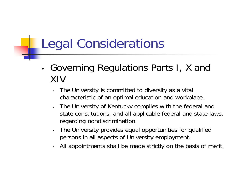- •• Governing Regulations Parts I, X and XIV
	- • The University is committed to diversity as a vital characteristic of an optimal education and workplace.
	- • The University of Kentucky complies with the federal and state constitutions, and all applicable federal and state laws, regarding nondiscrimination.
	- • The University provides equal opportunities for qualified persons in all aspects of University employment.
	- •All appointments shall be made strictly on the basis of merit.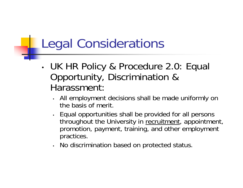- • UK HR Policy & Procedure 2.0: Equal Opportunity, Discrimination & Harassment:
	- All employment decisions shall be made uniformly on the basis of merit.
	- • Equal opportunities shall be provided for all persons throughout the University in recruitment, appointment, promotion, payment, training, and other employment practices.
	- •No discrimination based on protected status.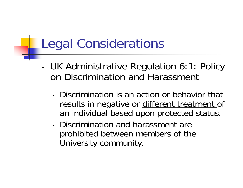- • UK Administrative Regulation 6:1: Policy on Discrimination and Harassment
	- Discrimination is an action or behavior that results in negative or different treatment of an individual based upon protected status.
	- Discrimination and harassment are prohibited between members of the University community.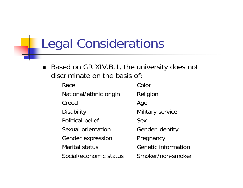$\blacksquare$  Based on GR XIV.B.1, the university does not discriminate on the basis of:

| Race                    | Color                      |
|-------------------------|----------------------------|
| National/ethnic origin  | Religion                   |
| Creed                   | Age                        |
| <b>Disability</b>       | Military service           |
| <b>Political belief</b> | <b>Sex</b>                 |
| Sexual orientation      | <b>Gender identity</b>     |
| Gender expression       | Pregnancy                  |
| <b>Marital status</b>   | <b>Genetic information</b> |
| Social/economic status  | Smoker/non-smoker          |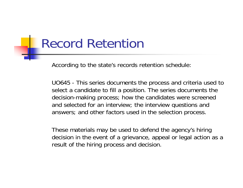#### Record Retention

According to the state's records retention schedule:

UO645 - This series documents the process and criteria used to select a candidate to fill a position. The series documents the decision-making process; how the candidates were screened and selected for an interview; the interview questions and answers; and other factors used in the selection process.

These materials may be used to defend the agency's hiring decision in the event of a grievance, appeal or legal action as a result of the hiring process and decision.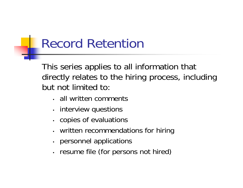## Record Retention

This series applies to all information that directly relates to the hiring process, including but not limited to:

- all written comments
- interview questions
- copies of evaluations
- •written recommendations for hiring
- personnel applications
- resume file (for persons not hired)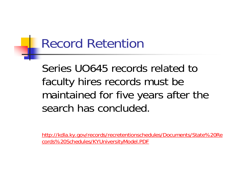### Record Retention

Series UO645 records related to faculty hires records must be maintained for five years after the search has concluded.

http://kdla.ky.gov/records/recretentionschedules/Documents/State%20Re cords%20Schedules/KYUniversityModel.PDF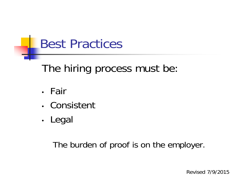#### The hiring process must be:

- Fair
- Consistent
- •• Legal

The burden of proof is on the employer.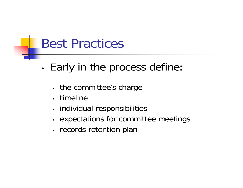- •• Early in the process define:
	- • $\bm{\cdot}$  the committee's charge
	- timeline
	- •• individual responsibilities
	- •• expectations for committee meetings
	- •• records retention plan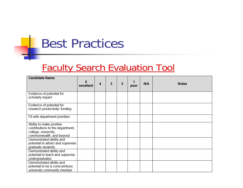#### Faculty Search Evaluation Tool

| <b>Candidate Name:</b>                                                                                           | 5<br>excellent | 4 | 3 | $\overline{2}$ | poor | N/A | <b>Notes</b> |
|------------------------------------------------------------------------------------------------------------------|----------------|---|---|----------------|------|-----|--------------|
| Evidence of potential for<br>scholarly impact                                                                    |                |   |   |                |      |     |              |
| Evidence of potential for<br>research productivity/ funding                                                      |                |   |   |                |      |     |              |
| Fit with department priorities                                                                                   |                |   |   |                |      |     |              |
| Ability to make positive<br>contributions to the department,<br>college, university,<br>commonwealth, and beyond |                |   |   |                |      |     |              |
| Demonstrated ability and<br>potential to attract and supervise<br>graduate students                              |                |   |   |                |      |     |              |
| Demonstrated ability and<br>potential to teach and supervise<br>undergraduates                                   |                |   |   |                |      |     |              |
| Demonstrated ability and<br>potential to be a conscientious<br>university community member                       |                |   |   |                |      |     |              |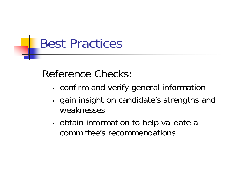Reference Checks:

- •confirm and verify general information
- •• gain insight on candidate's strengths and weaknesses
- •• obtain information to help validate a committee's recommendations